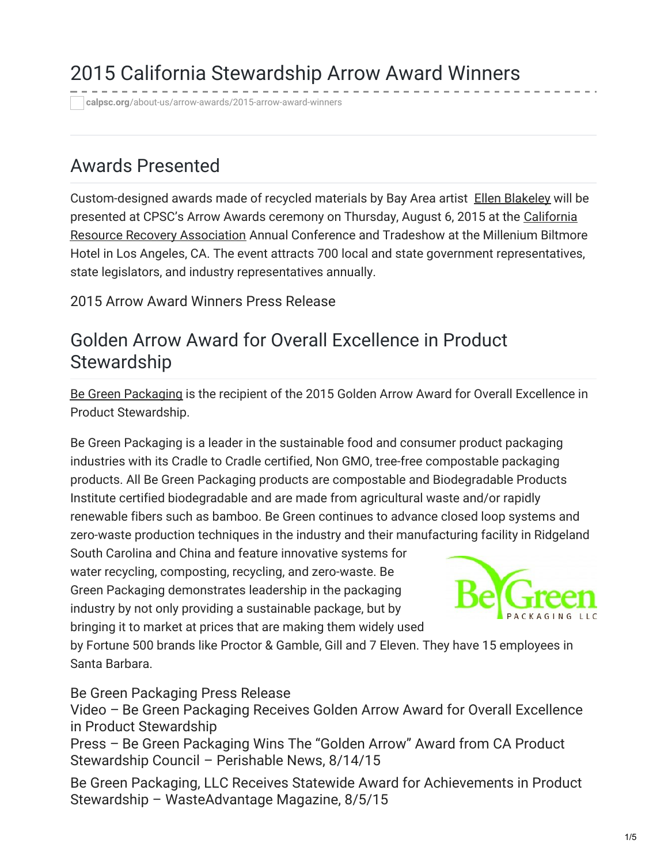# 2015 California Stewardship Arrow Award Winners

**calpsc.org**[/about-us/arrow-awards/2015-arrow-award-winners](https://calpsc.org/about-us/arrow-awards/2015-arrow-award-winners/)

### Awards Presented

Custom-designed awards made of recycled materials by Bay Area artist Ellen [Blakeley](http://www.ellenblakeley.com/) will be presented at CPSC's Arrow Awards ceremony on Thursday, August 6, 2015 at the California Resource Recovery [Association](http://www.crra.us/) Annual Conference and Tradeshow at the Millenium Biltmore Hotel in Los Angeles, CA. The event attracts 700 local and state government representatives, state legislators, and industry representatives annually.

2015 Arrow Award [Winners](https://calpsc.org/mobius/cpsc-content/uploads/2015/08/Press-Release-2015-Arrow-Award-Winners-FINAL.pdf) Press Release

#### Golden Arrow Award for Overall Excellence in Product **Stewardship**

Be Green [Packaging](http://begreenpackaging.com/) is the recipient of the 2015 Golden Arrow Award for Overall Excellence in Product Stewardship.

Be Green Packaging is a leader in the sustainable food and consumer product packaging industries with its Cradle to Cradle certified, Non GMO, tree-free compostable packaging products. All Be Green Packaging products are compostable and Biodegradable Products Institute certified biodegradable and are made from agricultural waste and/or rapidly renewable fibers such as bamboo. Be Green continues to advance closed loop systems and zero-waste production techniques in the industry and their manufacturing facility in Ridgeland

South Carolina and China and feature innovative systems for water recycling, composting, recycling, and zero-waste. Be Green Packaging demonstrates leadership in the packaging industry by not only providing a sustainable package, but by bringing it to market at prices that are making them widely used



by Fortune 500 brands like Proctor & Gamble, Gill and 7 Eleven. They have 15 employees in Santa Barbara.

Be Green [Packaging](https://calpsc.org/mobius/cpsc-content/uploads/2015/08/Press-Release-Be-Green-Packaging-FINAL.pdf) Press Release

Video – Be Green Packaging Receives Golden Arrow Award for Overall Excellence in Product [Stewardship](https://www.youtube.com/watch?v=tfBLugj5m2o)

Press – Be Green Packaging Wins The "Golden Arrow" Award from CA Product [Stewardship](https://calpsc.org/mobius/cpsc-content/uploads/2015/08/Press-Perishable-News-Be-Green-Packaging-Wins-The-Golden-Arrow-Award-from-CA-Product-Stewardship-Council-8-14-15.pdf) Council – Perishable News, 8/14/15

Be Green Packaging, LLC Receives Statewide Award for Achievements in Product Stewardship – [WasteAdvantage](http://wasteadvantagemag.com/be-green-packaging-llc-receives-statewide-award-for-achievements-in-product-stewardship/) Magazine, 8/5/15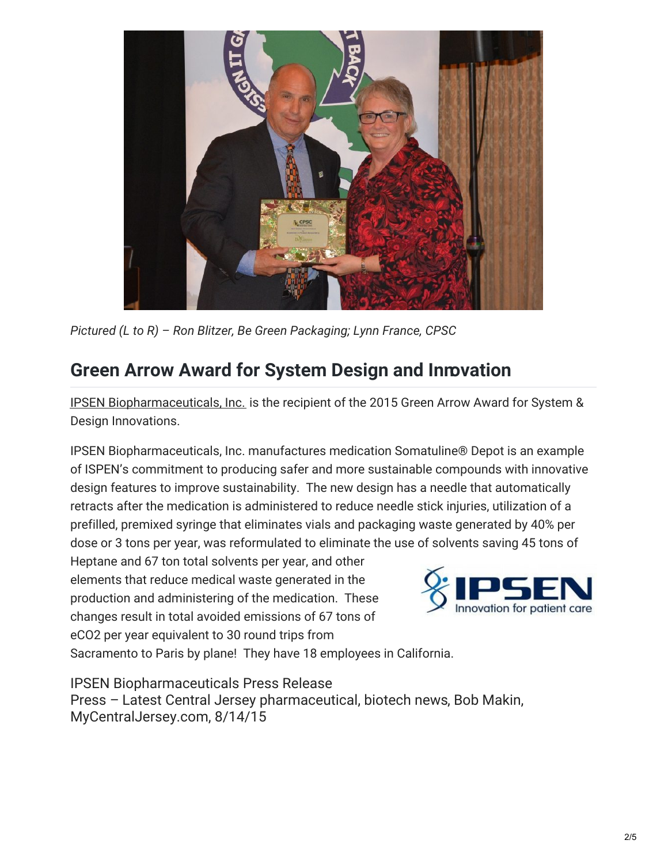

*Pictured (L to R) – Ron Blitzer, Be Green Packaging; Lynn France, CPSC*

## **Green Arrow Award for System Design and Innovation**

IPSEN [Biopharmaceuticals,](http://ipsenus.com/) Inc. is the recipient of the 2015 Green Arrow Award for System & Design Innovations.

IPSEN Biopharmaceuticals, Inc. manufactures medication Somatuline® Depot is an example of ISPEN's commitment to producing safer and more sustainable compounds with innovative design features to improve sustainability. The new design has a needle that automatically retracts after the medication is administered to reduce needle stick injuries, utilization of a prefilled, premixed syringe that eliminates vials and packaging waste generated by 40% per dose or 3 tons per year, was reformulated to eliminate the use of solvents saving 45 tons of

Heptane and 67 ton total solvents per year, and other elements that reduce medical waste generated in the production and administering of the medication. These changes result in total avoided emissions of 67 tons of eCO2 per year equivalent to 30 round trips from



Sacramento to Paris by plane! They have 18 employees in California.

IPSEN [Biopharmaceuticals](https://calpsc.org/mobius/cpsc-content/uploads/2015/08/Press-Release-Ipsen-FINAL.pdf) Press Release Press – Latest Central Jersey [pharmaceutical,](https://calpsc.org/mobius/cpsc-content/uploads/2015/08/Press-My-Central-Jersey-Latest-Central-Jersey-pharmaceutical-biotech-news.pdf) biotech news, Bob Makin, MyCentralJersey.com, 8/14/15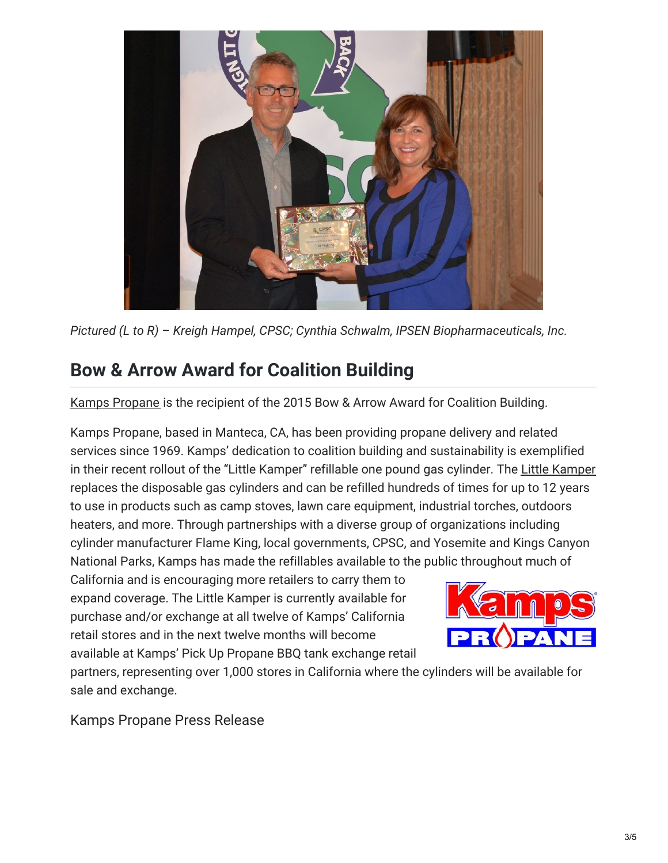

*Pictured (L to R) – Kreigh Hampel, CPSC; Cynthia Schwalm, IPSEN Biopharmaceuticals, Inc.*

#### **Bow & Arrow Award for Coalition Building**

Kamps [Propane](http://www.kampspropane.com/) is the recipient of the 2015 Bow & Arrow Award for Coalition Building.

Kamps Propane, based in Manteca, CA, has been providing propane delivery and related services since 1969. Kamps' dedication to coalition building and sustainability is exemplified in their recent rollout of the "Little Kamper" refillable one pound gas cylinder. The Little [Kamper](http://littlekamper.com/) replaces the disposable gas cylinders and can be refilled hundreds of times for up to 12 years to use in products such as camp stoves, lawn care equipment, industrial torches, outdoors heaters, and more. Through partnerships with a diverse group of organizations including cylinder manufacturer Flame King, local governments, CPSC, and Yosemite and Kings Canyon National Parks, Kamps has made the refillables available to the public throughout much of

California and is encouraging more retailers to carry them to expand coverage. The Little Kamper is currently available for purchase and/or exchange at all twelve of Kamps' California retail stores and in the next twelve months will become available at Kamps' Pick Up Propane BBQ tank exchange retail



partners, representing over 1,000 stores in California where the cylinders will be available for sale and exchange.

Kamps [Propane](https://calpsc.org/mobius/cpsc-content/uploads/2015/08/Press-Release-Kamps-Propane-FINAL.pdf) Press Release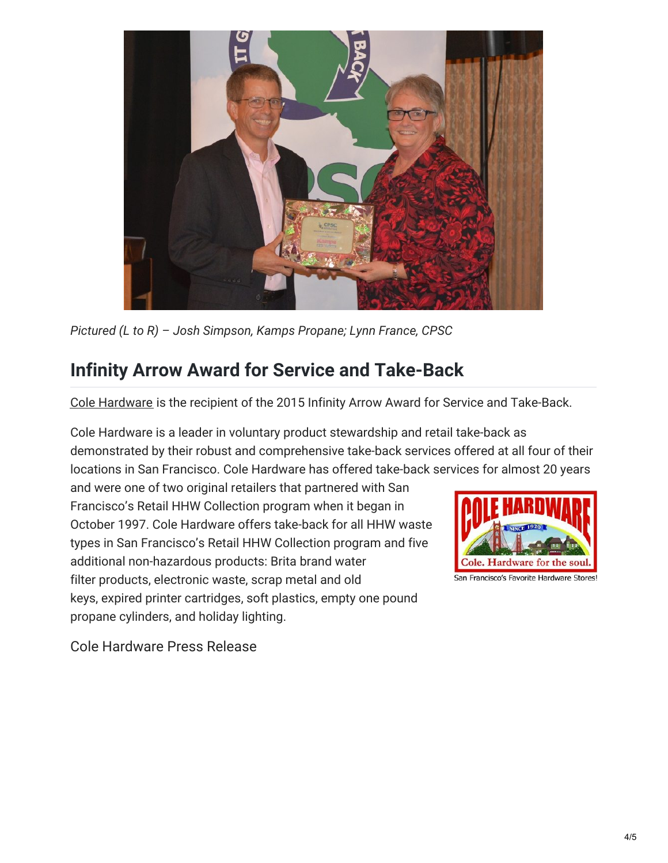

*Pictured (L to R) – Josh Simpson, Kamps Propane; Lynn France, CPSC*

## **Infinity Arrow Award for Service and Take-Back**

Cole [Hardware](http://www.colehardware.com/) is the recipient of the 2015 Infinity Arrow Award for Service and Take-Back.

Cole Hardware is a leader in voluntary product stewardship and retail take-back as demonstrated by their robust and comprehensive take-back services offered at all four of their locations in San Francisco. Cole Hardware has offered take-back services for almost 20 years

and were one of two original retailers that partnered with San Francisco's Retail HHW Collection program when it began in October 1997. Cole Hardware offers take-back for all HHW waste types in San Francisco's Retail HHW Collection program and five additional non-hazardous products: Brita brand water filter products, electronic waste, scrap metal and old keys, expired printer cartridges, soft plastics, empty one pound propane cylinders, and holiday lighting.



Cole [Hardware](https://calpsc.org/mobius/cpsc-content/uploads/2015/08/Press-Release-Cole-Hardware-FINAL.pdf) Press Release